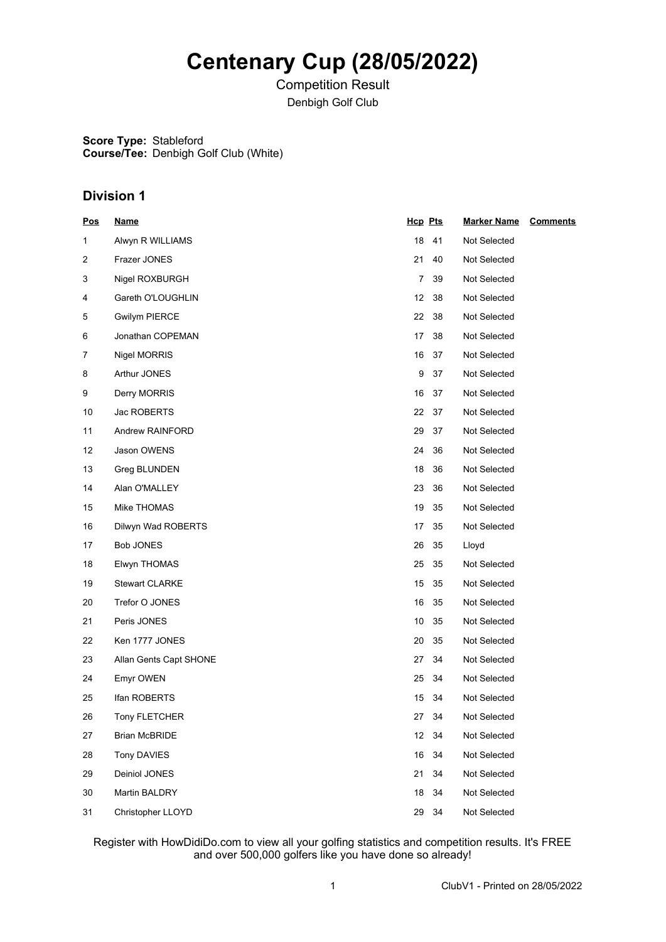# **Centenary Cup (28/05/2022)**

Competition Result Denbigh Golf Club

**Score Type:** Stableford **Course/Tee:** Denbigh Golf Club (White)

### **Division 1**

| <u>Pos</u> | <u>Name</u>            | Hcp Pts  | <b>Marker Name</b> | <b>Comments</b> |
|------------|------------------------|----------|--------------------|-----------------|
| 1          | Alwyn R WILLIAMS       | 18<br>41 | Not Selected       |                 |
| 2          | Frazer JONES           | 21<br>40 | Not Selected       |                 |
| 3          | Nigel ROXBURGH         | 39<br>7  | Not Selected       |                 |
| 4          | Gareth O'LOUGHLIN      | 12<br>38 | Not Selected       |                 |
| 5          | <b>Gwilym PIERCE</b>   | 38<br>22 | Not Selected       |                 |
| 6          | Jonathan COPEMAN       | 38<br>17 | Not Selected       |                 |
| 7          | Nigel MORRIS           | 16<br>37 | Not Selected       |                 |
| 8          | Arthur JONES           | 9<br>37  | Not Selected       |                 |
| 9          | Derry MORRIS           | 16<br>37 | Not Selected       |                 |
| 10         | Jac ROBERTS            | 22<br>37 | Not Selected       |                 |
| 11         | Andrew RAINFORD        | 29<br>37 | Not Selected       |                 |
| 12         | Jason OWENS            | 36<br>24 | Not Selected       |                 |
| 13         | Greg BLUNDEN           | 18<br>36 | Not Selected       |                 |
| 14         | Alan O'MALLEY          | 23<br>36 | Not Selected       |                 |
| 15         | Mike THOMAS            | 35<br>19 | Not Selected       |                 |
| 16         | Dilwyn Wad ROBERTS     | 35<br>17 | Not Selected       |                 |
| 17         | Bob JONES              | 35<br>26 | Lloyd              |                 |
| 18         | Elwyn THOMAS           | 35<br>25 | Not Selected       |                 |
| 19         | <b>Stewart CLARKE</b>  | 15<br>35 | Not Selected       |                 |
| 20         | Trefor O JONES         | 35<br>16 | Not Selected       |                 |
| 21         | Peris JONES            | 35<br>10 | Not Selected       |                 |
| 22         | Ken 1777 JONES         | 20<br>35 | Not Selected       |                 |
| 23         | Allan Gents Capt SHONE | 34<br>27 | Not Selected       |                 |
| 24         | Emyr OWEN              | 25<br>34 | Not Selected       |                 |
| 25         | Ifan ROBERTS           | 15<br>34 | Not Selected       |                 |
| 26         | Tony FLETCHER          | 27<br>34 | Not Selected       |                 |
| 27         | <b>Brian McBRIDE</b>   | 12 34    | Not Selected       |                 |
| 28         | Tony DAVIES            | 16<br>34 | Not Selected       |                 |
| 29         | Deiniol JONES          | 34<br>21 | Not Selected       |                 |
| 30         | Martin BALDRY          | 18<br>34 | Not Selected       |                 |
| 31         | Christopher LLOYD      | 34<br>29 | Not Selected       |                 |

Register with HowDidiDo.com to view all your golfing statistics and competition results. It's FREE and over 500,000 golfers like you have done so already!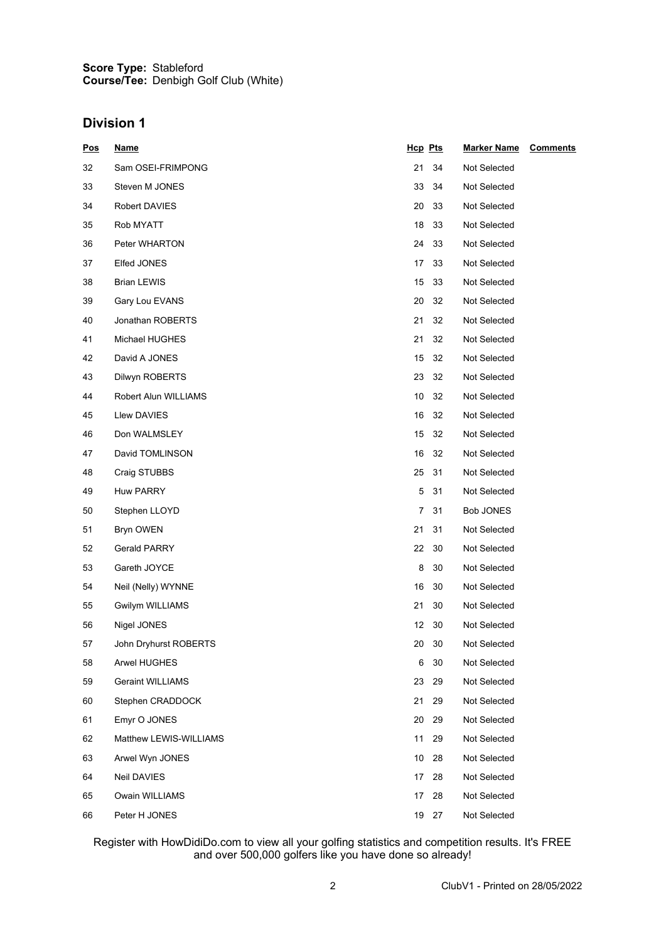#### **Score Type: Course/Tee:** Stableford Denbigh Golf Club (White)

### **Division 1**

| <u>Pos</u> | <b>Name</b>             | Hcp Pts  | <b>Marker Name</b> | <b>Comments</b> |
|------------|-------------------------|----------|--------------------|-----------------|
| 32         | Sam OSEI-FRIMPONG       | 21<br>34 | Not Selected       |                 |
| 33         | Steven M JONES          | 33<br>34 | Not Selected       |                 |
| 34         | Robert DAVIES           | 20<br>33 | Not Selected       |                 |
| 35         | Rob MYATT               | 18<br>33 | Not Selected       |                 |
| 36         | Peter WHARTON           | 24<br>33 | Not Selected       |                 |
| 37         | Elfed JONES             | 33<br>17 | Not Selected       |                 |
| 38         | Brian LEWIS             | 15<br>33 | Not Selected       |                 |
| 39         | Gary Lou EVANS          | 20<br>32 | Not Selected       |                 |
| 40         | Jonathan ROBERTS        | 21<br>32 | Not Selected       |                 |
| 41         | Michael HUGHES          | 21<br>32 | Not Selected       |                 |
| 42         | David A JONES           | 15<br>32 | Not Selected       |                 |
| 43         | Dilwyn ROBERTS          | 23<br>32 | Not Selected       |                 |
| 44         | Robert Alun WILLIAMS    | 10<br>32 | Not Selected       |                 |
| 45         | Llew DAVIES             | 16<br>32 | Not Selected       |                 |
| 46         | Don WALMSLEY            | 15<br>32 | Not Selected       |                 |
| 47         | David TOMLINSON         | 16<br>32 | Not Selected       |                 |
| 48         | Craig STUBBS            | 31<br>25 | Not Selected       |                 |
| 49         | <b>Huw PARRY</b>        | 5<br>31  | Not Selected       |                 |
| 50         | Stephen LLOYD           | 7<br>31  | Bob JONES          |                 |
| 51         | Bryn OWEN               | 21<br>31 | Not Selected       |                 |
| 52         | Gerald PARRY            | 22<br>30 | Not Selected       |                 |
| 53         | Gareth JOYCE            | 8<br>30  | Not Selected       |                 |
| 54         | Neil (Nelly) WYNNE      | 16<br>30 | Not Selected       |                 |
| 55         | Gwilym WILLIAMS         | 21<br>30 | Not Selected       |                 |
| 56         | Nigel JONES             | 12<br>30 | Not Selected       |                 |
| 57         | John Dryhurst ROBERTS   | 20<br>30 | Not Selected       |                 |
| 58         | Arwel HUGHES            | 6<br>30  | Not Selected       |                 |
| 59         | <b>Geraint WILLIAMS</b> | 23<br>29 | Not Selected       |                 |
| 60         | Stephen CRADDOCK        | 21<br>29 | Not Selected       |                 |
| 61         | Emyr O JONES            | 20<br>29 | Not Selected       |                 |
| 62         | Matthew LEWIS-WILLIAMS  | 11<br>29 | Not Selected       |                 |
| 63         | Arwel Wyn JONES         | 10<br>28 | Not Selected       |                 |
| 64         | Neil DAVIES             | 28<br>17 | Not Selected       |                 |
| 65         | Owain WILLIAMS          | 17<br>28 | Not Selected       |                 |
| 66         | Peter H JONES           | 19 27    | Not Selected       |                 |

Register with HowDidiDo.com to view all your golfing statistics and competition results. It's FREE and over 500,000 golfers like you have done so already!